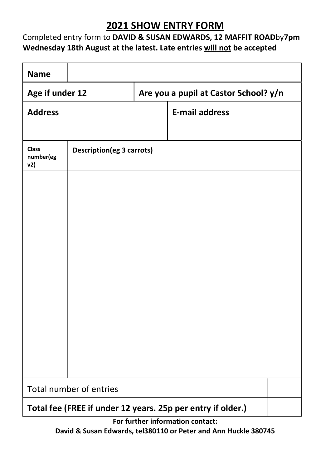### 2021 SHOW ENTRY FORM

#### Completed entry form to DAVID & SUSAN EDWARDS, 12 MAFFIT ROADby7pm Wednesday 18th August at the latest. Late entries will not be accepted

| <b>Name</b>                                                 |                                  |                                       |                       |  |
|-------------------------------------------------------------|----------------------------------|---------------------------------------|-----------------------|--|
| Age if under 12                                             |                                  | Are you a pupil at Castor School? y/n |                       |  |
| <b>Address</b>                                              |                                  |                                       | <b>E-mail address</b> |  |
|                                                             |                                  |                                       |                       |  |
| <b>Class</b><br>number(eg<br>v2)                            | <b>Description(eg 3 carrots)</b> |                                       |                       |  |
|                                                             |                                  |                                       |                       |  |
|                                                             |                                  |                                       |                       |  |
|                                                             |                                  |                                       |                       |  |
|                                                             |                                  |                                       |                       |  |
|                                                             |                                  |                                       |                       |  |
|                                                             |                                  |                                       |                       |  |
|                                                             |                                  |                                       |                       |  |
|                                                             |                                  |                                       |                       |  |
|                                                             |                                  |                                       |                       |  |
|                                                             |                                  |                                       |                       |  |
| Total number of entries                                     |                                  |                                       |                       |  |
| Total fee (FREE if under 12 years. 25p per entry if older.) |                                  |                                       |                       |  |

For further information contact: David & Susan Edwards, tel380110 or Peter and Ann Huckle 380745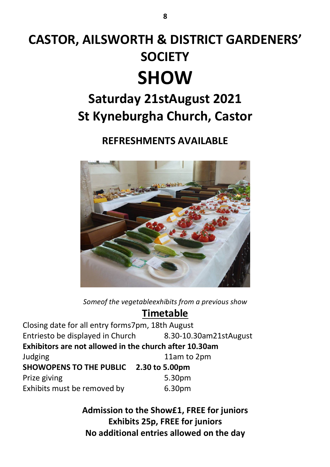# CASTOR, AILSWORTH & DISTRICT GARDENERS' **SOCIETY SHOW**

# Saturday 21stAugust 2021 St Kyneburgha Church, Castor

### REFRESHMENTS AVAILABLE



Someof the vegetableexhibits from a previous show

### Timetable

Closing date for all entry forms7pm, 18th August Entriesto be displayed in Church 8.30-10.30am21stAugust Exhibitors are not allowed in the church after 10.30am Judging 11am to 2pm SHOWOPENS TO THE PUBLIC 2.30 to 5.00pm Prize giving the state of the Superstanding the S.30pm Exhibits must be removed by 6.30pm

> Admission to the Show£1, FREE for juniors Exhibits 25p, FREE for juniors No additional entries allowed on the day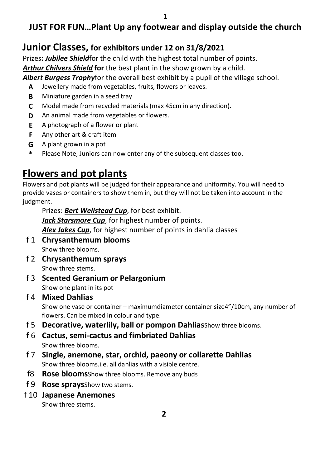### JUST FOR FUN…Plant Up any footwear and display outside the church

### Junior Classes, for exhibitors under 12 on 31/8/2021

Prizes: **Jubilee Shield**for the child with the highest total number of points. Arthur Chilvers Shield for the best plant in the show grown by a child.

Albert Burgess Trophyfor the overall best exhibit by a pupil of the village school.

- A Jewellery made from vegetables, fruits, flowers or leaves.
- B Miniature garden in a seed tray
- C Model made from recycled materials (max 45cm in any direction).
- **D** An animal made from vegetables or flowers.
- E A photograph of a flower or plant
- **F** Any other art & craft item
- G A plant grown in a pot
- \* Please Note, Juniors can now enter any of the subsequent classes too.

# Flowers and pot plants

Flowers and pot plants will be judged for their appearance and uniformity. You will need to provide vases or containers to show them in, but they will not be taken into account in the judgment.

Prizes: Bert Wellstead Cup, for best exhibit.

Jack Starsmore Cup, for highest number of points.

Alex Jakes Cup, for highest number of points in dahlia classes

- f 1 Chrysanthemum blooms Show three blooms.
- f 2 Chrysanthemum sprays Show three stems.
- f 3 Scented Geranium or Pelargonium Show one plant in its pot

#### f 4 Mixed Dahlias

Show one vase or container – maximumdiameter container size4"/10cm, any number of flowers. Can be mixed in colour and type.

- f 5 Decorative, waterlily, ball or pompon DahliasShow three blooms.
- f 6 Cactus, semi-cactus and fimbriated Dahlias Show three blooms.
- f 7 Single, anemone, star, orchid, paeony or collarette Dahlias Show three blooms.i.e. all dahlias with a visible centre.
- f8 Rose bloomsShow three blooms. Remove any buds
- f 9 Rose spraysShow two stems.
- f 10 Japanese Anemones

Show three stems.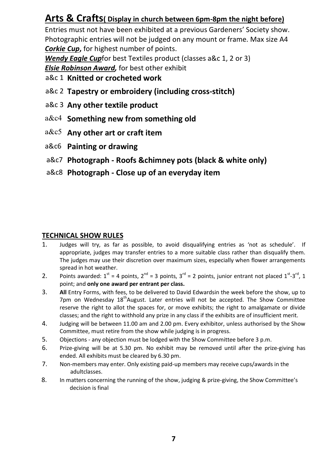### Arts & Crafts( Display in church between 6pm-8pm the night before)

Entries must not have been exhibited at a previous Gardeners' Society show. Photographic entries will not be judged on any mount or frame. Max size A4 Corkie Cup, for highest number of points.

Wendy Eagle Cupfor best Textiles product (classes a&c 1, 2 or 3)

**Elsie Robinson Award, for best other exhibit** 

- a&c 1 Knitted or crocheted work
- a&c 2 Tapestry or embroidery (including cross-stitch)
- a&c 3 Any other textile product
- a&c4 Something new from something old
- a&c5 Any other art or craft item
- a&c6 Painting or drawing
- a&c7 Photograph Roofs &chimney pots (black & white only)
- a&c8 Photograph Close up of an everyday item

#### TECHNICAL SHOW RULES

- 1. Judges will try, as far as possible, to avoid disqualifying entries as 'not as schedule'. If appropriate, judges may transfer entries to a more suitable class rather than disqualify them. The judges may use their discretion over maximum sizes, especially when flower arrangements spread in hot weather.
- 2. Points awarded:  $1^{st} = 4$  points,  $2^{nd} = 3$  points,  $3^{rd} = 2$  points, junior entrant not placed  $1^{st} \cdot 3^{rd}$ , 1 point; and only one award per entrant per class.
- 3. All Entry Forms, with fees, to be delivered to David Edwardsin the week before the show, up to 7pm on Wednesday  $18<sup>th</sup>$ August. Later entries will not be accepted. The Show Committee reserve the right to allot the spaces for, or move exhibits; the right to amalgamate or divide classes; and the right to withhold any prize in any class if the exhibits are of insufficient merit.
- 4. Judging will be between 11.00 am and 2.00 pm. Every exhibitor, unless authorised by the Show Committee, must retire from the show while judging is in progress.
- 5. Objections any objection must be lodged with the Show Committee before 3 p.m.
- 6. Prize-giving will be at 5.30 pm. No exhibit may be removed until after the prize-giving has ended. All exhibits must be cleared by 6.30 pm.
- 7. Non-members may enter. Only existing paid-up members may receive cups/awards in the adultclasses.
- 8. In matters concerning the running of the show, judging & prize-giving, the Show Committee's decision is final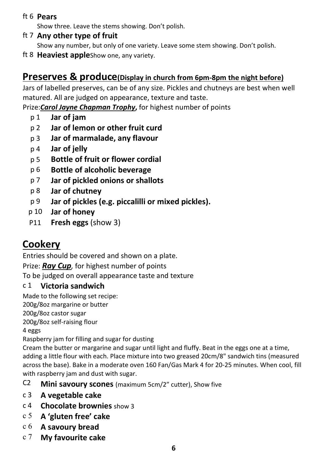#### ft 6 Pears

Show three. Leave the stems showing. Don't polish.

ft 7 Any other type of fruit

Show any number, but only of one variety. Leave some stem showing. Don't polish.

ft 8 Heaviest appleShow one, any variety.

### Preserves & produce(Display in church from 6pm-8pm the night before)

Jars of labelled preserves, can be of any size. Pickles and chutneys are best when well matured. All are judged on appearance, texture and taste.

Prize: Carol Jayne Chapman Trophy, for highest number of points

- p 1 Jar of jam
- p 2 Jar of lemon or other fruit curd
- p 3 Jar of marmalade, any flavour
- p 4 Jar of jelly
- p 5 Bottle of fruit or flower cordial
- p 6 Bottle of alcoholic beverage
- p 7 Jar of pickled onions or shallots
- p 8 Jar of chutney
- p 9 Jar of pickles (e.g. piccalilli or mixed pickles).
- p 10 Jar of honey
- P11 Fresh eggs (show 3)

## **Cookery**

Entries should be covered and shown on a plate.

Prize: Rav Cup, for highest number of points

To be judged on overall appearance taste and texture

#### c 1 Victoria sandwich

Made to the following set recipe:

200g/8oz margarine or butter

200g/8oz castor sugar

200g/8oz self-raising flour

4 eggs

Raspberry jam for filling and sugar for dusting

Cream the butter or margarine and sugar until light and fluffy. Beat in the eggs one at a time, adding a little flour with each. Place mixture into two greased 20cm/8" sandwich tins (measured across the base). Bake in a moderate oven 160 Fan/Gas Mark 4 for 20-25 minutes. When cool, fill with raspberry jam and dust with sugar.

- C2 Mini savoury scones (maximum 5cm/2" cutter), Show five
- c 3 A vegetable cake
- c 4 Chocolate brownies show 3
- c 5 A 'gluten free' cake
- c 6 A savoury bread
- c 7 My favourite cake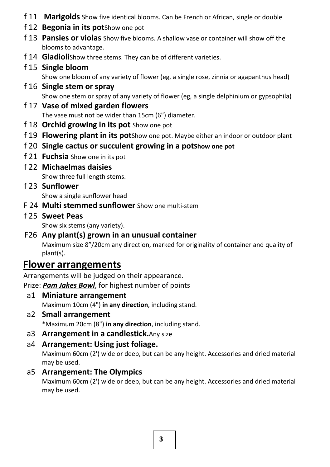- f 11 Marigolds Show five identical blooms. Can be French or African, single or double
- f 12 Begonia in its pot Show one pot
- f 13 Pansies or violas Show five blooms. A shallow vase or container will show off the blooms to advantage.
- f 14 Gladiolishow three stems. They can be of different varieties.

### f 15 Single bloom

Show one bloom of any variety of flower (eg, a single rose, zinnia or agapanthus head)

- f 16 Single stem or spray Show one stem or spray of any variety of flower (eg, a single delphinium or gypsophila)
- f 17 Vase of mixed garden flowers The vase must not be wider than 15cm (6") diameter.
- f 18 Orchid growing in its pot Show one pot
- f 19 Flowering plant in its potShow one pot. Maybe either an indoor or outdoor plant
- f 20 Single cactus or succulent growing in a potShow one pot
- f 21 Fuchsia Show one in its pot
- f 22 Michaelmas daisies Show three full length stems.
- f 23 Sunflower

Show a single sunflower head

- F 24 Multi stemmed sunflower Show one multi-stem
- f 25 Sweet Peas

Show six stems (any variety).

F26 Any plant(s) grown in an unusual container Maximum size 8"/20cm any direction, marked for originality of container and quality of plant(s).

### Flower arrangements

Arrangements will be judged on their appearance.

Prize: Pam Jakes Bowl, for highest number of points

- a1 Miniature arrangement Maximum 10cm (4") in any direction, including stand.
- a2 Small arrangement

\*Maximum 20cm (8") in any direction, including stand.

- a3 Arrangement in a candlestick. Any size
- a4 Arrangement: Using just foliage.

Maximum 60cm (2') wide or deep, but can be any height. Accessories and dried material may be used.

a5 Arrangement: The Olympics

Maximum 60cm (2') wide or deep, but can be any height. Accessories and dried material may be used.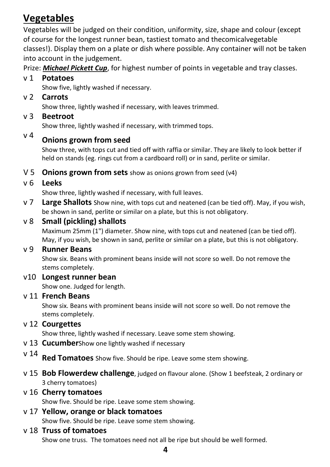# Vegetables

Vegetables will be judged on their condition, uniformity, size, shape and colour (except of course for the longest runner bean, tastiest tomato and thecomicalvegetable classes!). Display them on a plate or dish where possible. Any container will not be taken into account in the judgement.

Prize: Michael Pickett Cup, for highest number of points in vegetable and tray classes.

#### v 1 Potatoes

Show five, lightly washed if necessary.

v 2 Carrots

Show three, lightly washed if necessary, with leaves trimmed.

v 3 Beetroot

Show three, lightly washed if necessary, with trimmed tops.

### $V<sup>4</sup>$  Onions grown from seed

Show three, with tops cut and tied off with raffia or similar. They are likely to look better if held on stands (eg. rings cut from a cardboard roll) or in sand, perlite or similar.

V 5 **Onions grown from sets** show as onions grown from seed (v4)

#### v 6 Leeks

Show three, lightly washed if necessary, with full leaves.

v 7 Large Shallots Show nine, with tops cut and neatened (can be tied off). May, if you wish, be shown in sand, perlite or similar on a plate, but this is not obligatory.

#### v 8 Small (pickling) shallots

Maximum 25mm (1") diameter. Show nine, with tops cut and neatened (can be tied off). May, if you wish, be shown in sand, perlite or similar on a plate, but this is not obligatory.

#### v 9 Runner Beans

Show six. Beans with prominent beans inside will not score so well. Do not remove the stems completely.

#### v10 Longest runner bean

Show one. Judged for length.

#### v 11 French Beans

Show six. Beans with prominent beans inside will not score so well. Do not remove the stems completely.

#### v 12 Courgettes

Show three, lightly washed if necessary. Leave some stem showing.

- v 13 **Cucumber**Show one lightly washed if necessary
- $v$   $14$  **Red Tomatoes** Show five. Should be ripe. Leave some stem showing.
- v 15 Bob Flowerdew challenge, judged on flavour alone. (Show 1 beefsteak, 2 ordinary or 3 cherry tomatoes)

#### v 16 Cherry tomatoes

Show five. Should be ripe. Leave some stem showing.

# v 17 Yellow, orange or black tomatoes

Show five. Should be ripe. Leave some stem showing.

#### v 18 Truss of tomatoes

Show one truss. The tomatoes need not all be ripe but should be well formed.